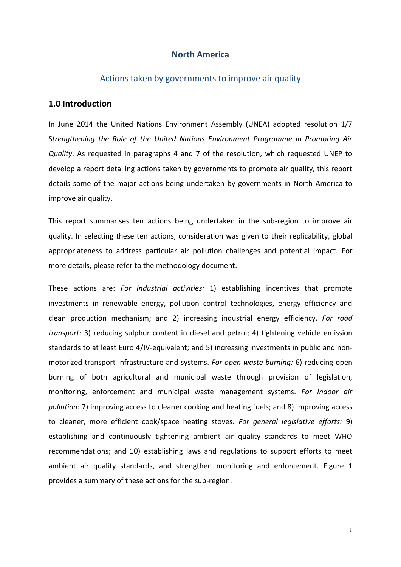## **North America**

## Actions taken by governments to improve air quality

## **1.0 Introduction**

In June 2014 the United Nations Environment Assembly (UNEA) adopted resolution 1/7 S*trengthening the Role of the United Nations Environment Programme in Promoting Air Quality*. As requested in paragraphs 4 and 7 of the resolution, which requested UNEP to develop a report detailing actions taken by governments to promote air quality, this report details some of the major actions being undertaken by governments in North America to improve air quality.

This report summarises ten actions being undertaken in the sub-region to improve air quality. In selecting these ten actions, consideration was given to their replicability, global appropriateness to address particular air pollution challenges and potential impact. For more details, please refer to the methodology document.

These actions are: *For Industrial activities:* 1) establishing incentives that promote investments in renewable energy, pollution control technologies, energy efficiency and clean production mechanism; and 2) increasing industrial energy efficiency. *For road transport:* 3) reducing sulphur content in diesel and petrol; 4) tightening vehicle emission standards to at least Euro 4/IV-equivalent; and 5) increasing investments in public and nonmotorized transport infrastructure and systems. *For open waste burning:* 6) reducing open burning of both agricultural and municipal waste through provision of legislation, monitoring, enforcement and municipal waste management systems. *For Indoor air pollution:* 7) improving access to cleaner cooking and heating fuels; and 8) improving access to cleaner, more efficient cook/space heating stoves. *For general legislative efforts:* 9) establishing and continuously tightening ambient air quality standards to meet WHO recommendations; and 10) establishing laws and regulations to support efforts to meet ambient air quality standards, and strengthen monitoring and enforcement. Figure 1 provides a summary of these actions for the sub-region.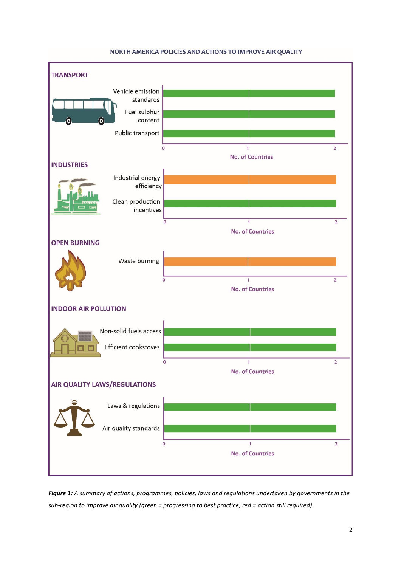

#### NORTH AMERICA POLICIES AND ACTIONS TO IMPROVE AIR QUALITY

*Figure 1: A summary of actions, programmes, policies, laws and regulations undertaken by governments in the sub-region to improve air quality (green = progressing to best practice; red = action still required).*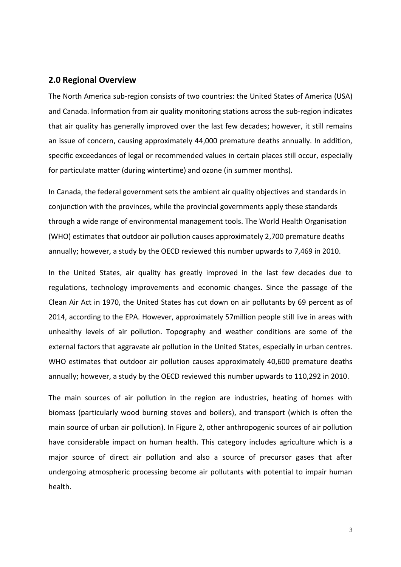## **2.0 Regional Overview**

The North America sub-region consists of two countries: the United States of America (USA) and Canada. Information from air quality monitoring stations across the sub-region indicates that air quality has generally improved over the last few decades; however, it still remains an issue of concern, causing approximately 44,000 premature deaths annually. In addition, specific exceedances of legal or recommended values in certain places still occur, especially for particulate matter (during wintertime) and ozone (in summer months).

In Canada, the federal government sets the ambient air quality objectives and standards in conjunction with the provinces, while the provincial governments apply these standards through a wide range of environmental management tools. The World Health Organisation (WHO) estimates that outdoor air pollution causes approximately 2,700 premature deaths annually; however, a study by the OECD reviewed this number upwards to 7,469 in 2010.

In the United States, air quality has greatly improved in the last few decades due to regulations, technology improvements and economic changes. Since the passage of the Clean Air Act in 1970, the United States has cut down on air pollutants by 69 percent as of 2014, according to the EPA. However, approximately 57million people still live in areas with unhealthy levels of air pollution. Topography and weather conditions are some of the external factors that aggravate air pollution in the United States, especially in urban centres. WHO estimates that outdoor air pollution causes approximately 40,600 premature deaths annually; however, a study by the OECD reviewed this number upwards to 110,292 in 2010.

The main sources of air pollution in the region are industries, heating of homes with biomass (particularly wood burning stoves and boilers), and transport (which is often the main source of urban air pollution). In Figure 2, other anthropogenic sources of air pollution have considerable impact on human health. This category includes agriculture which is a major source of direct air pollution and also a source of precursor gases that after undergoing atmospheric processing become air pollutants with potential to impair human health.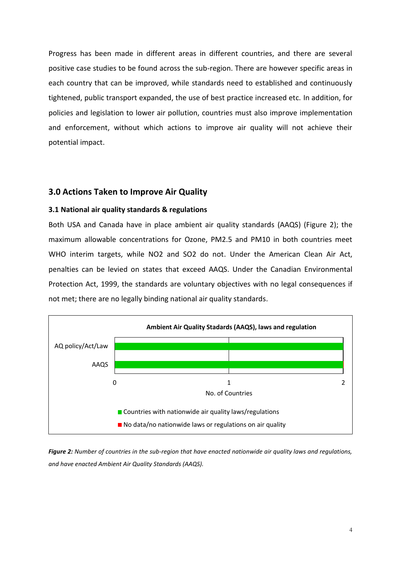Progress has been made in different areas in different countries, and there are several positive case studies to be found across the sub-region. There are however specific areas in each country that can be improved, while standards need to established and continuously tightened, public transport expanded, the use of best practice increased etc. In addition, for policies and legislation to lower air pollution, countries must also improve implementation and enforcement, without which actions to improve air quality will not achieve their potential impact.

## **3.0 Actions Taken to Improve Air Quality**

### **3.1 National air quality standards & regulations**

Both USA and Canada have in place ambient air quality standards (AAQS) (Figure 2); the maximum allowable concentrations for Ozone, PM2.5 and PM10 in both countries meet WHO interim targets, while NO2 and SO2 do not. Under the American Clean Air Act, penalties can be levied on states that exceed AAQS. Under the Canadian Environmental Protection Act, 1999, the standards are voluntary objectives with no legal consequences if not met; there are no legally binding national air quality standards.



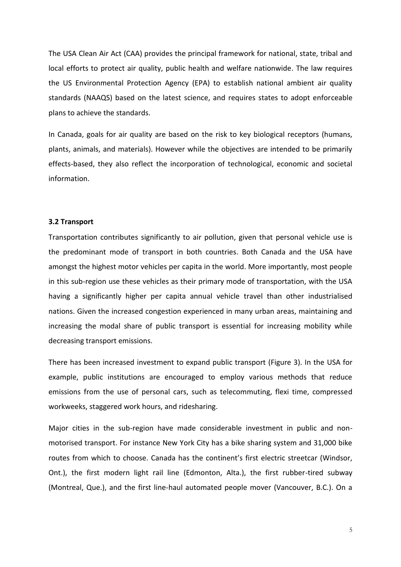The USA Clean Air Act (CAA) provides the principal framework for national, state, tribal and local efforts to protect air quality, public health and welfare nationwide. The law requires the US Environmental Protection Agency (EPA) to establish national ambient air quality standards (NAAQS) based on the latest science, and requires states to adopt enforceable plans to achieve the standards.

In Canada, goals for air quality are based on the risk to key biological receptors (humans, plants, animals, and materials). However while the objectives are intended to be primarily effects-based, they also reflect the incorporation of technological, economic and societal information.

#### **3.2 Transport**

Transportation contributes significantly to air pollution, given that personal vehicle use is the predominant mode of transport in both countries. Both Canada and the USA have amongst the highest motor vehicles per capita in the world. More importantly, most people in this sub-region use these vehicles as their primary mode of transportation, with the USA having a significantly higher per capita annual vehicle travel than other industrialised nations. Given the increased congestion experienced in many urban areas, maintaining and increasing the modal share of public transport is essential for increasing mobility while decreasing transport emissions.

There has been increased investment to expand public transport (Figure 3). In the USA for example, public institutions are encouraged to employ various methods that reduce emissions from the use of personal cars, such as telecommuting, flexi time, compressed workweeks, staggered work hours, and ridesharing.

Major cities in the sub-region have made considerable investment in public and nonmotorised transport. For instance New York City has a bike sharing system and 31,000 bike routes from which to choose. Canada has the continent's first electric streetcar (Windsor, Ont.), the first modern light rail line (Edmonton, Alta.), the first rubber-tired subway (Montreal, Que.), and the first line-haul automated people mover (Vancouver, B.C.). On a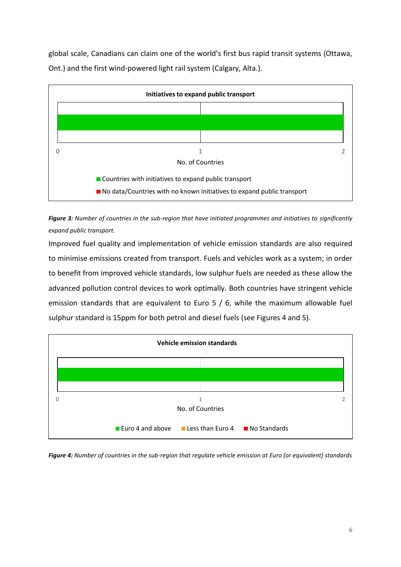global scale, Canadians can claim one of the world's first bus rapid transit systems (Ottawa, Ont.) and the first wind-powered light rail system (Calgary, Alta.).



*Figure 3: Number of countries in the sub-region that have initiated programmes and initiatives to significantly expand public transport.*

Improved fuel quality and implementation of vehicle emission standards are also required to minimise emissions created from transport. Fuels and vehicles work as a system; in order to benefit from improved vehicle standards, low sulphur fuels are needed as these allow the advanced pollution control devices to work optimally. Both countries have stringent vehicle emission standards that are equivalent to Euro 5 / 6, while the maximum allowable fuel sulphur standard is 15ppm for both petrol and diesel fuels (see Figures 4 and 5).



*Figure 4: Number of countries in the sub-region that regulate vehicle emission at Euro (or equivalent) standards*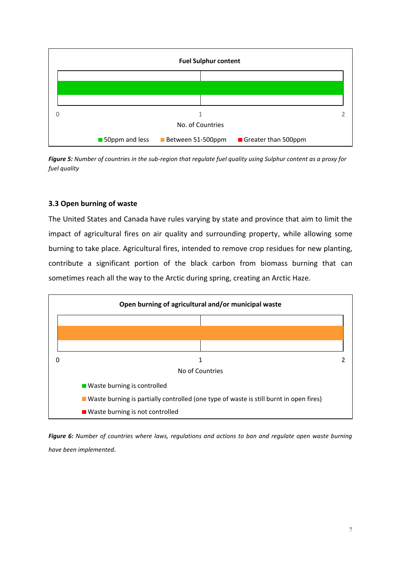

*Figure 5: Number of countries in the sub-region that regulate fuel quality using Sulphur content as a proxy for fuel quality*

# **3.3 Open burning of waste**

The United States and Canada have rules varying by state and province that aim to limit the impact of agricultural fires on air quality and surrounding property, while allowing some burning to take place. Agricultural fires, intended to remove crop residues for new planting, contribute a significant portion of the black carbon from biomass burning that can sometimes reach all the way to the Arctic during spring, creating an Arctic Haze.



*Figure 6: Number of countries where laws, regulations and actions to ban and regulate open waste burning have been implemented.*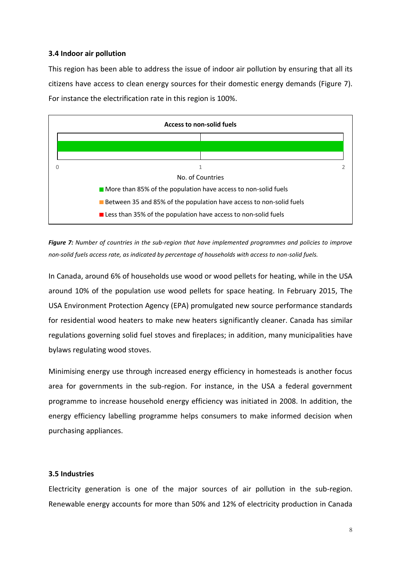## **3.4 Indoor air pollution**

This region has been able to address the issue of indoor air pollution by ensuring that all its citizens have access to clean energy sources for their domestic energy demands (Figure 7). For instance the electrification rate in this region is 100%.



*Figure 7: Number of countries in the sub-region that have implemented programmes and policies to improve non-solid fuels access rate, as indicated by percentage of households with access to non-solid fuels.*

In Canada, around 6% of households use wood or wood pellets for heating, while in the USA around 10% of the population use wood pellets for space heating. In February 2015, The USA Environment Protection Agency (EPA) promulgated new source performance standards for residential wood heaters to make new heaters significantly cleaner. Canada has similar regulations governing solid fuel stoves and fireplaces; in addition, many municipalities have bylaws regulating wood stoves.

Minimising energy use through increased energy efficiency in homesteads is another focus area for governments in the sub-region. For instance, in the USA a federal government programme to increase household energy efficiency was initiated in 2008. In addition, the energy efficiency labelling programme helps consumers to make informed decision when purchasing appliances.

## **3.5 Industries**

Electricity generation is one of the major sources of air pollution in the sub-region. Renewable energy accounts for more than 50% and 12% of electricity production in Canada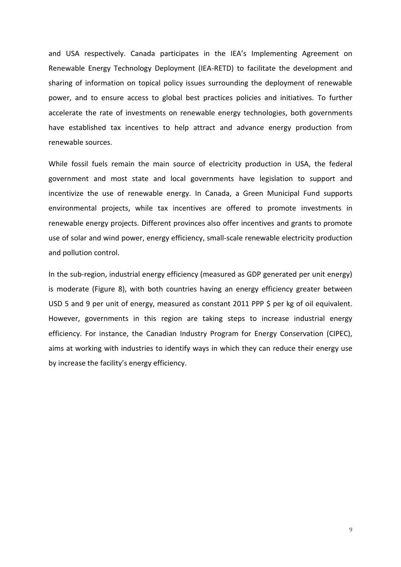and USA respectively. Canada participates in the IEA's Implementing Agreement on Renewable Energy Technology Deployment (IEA-RETD) to facilitate the development and sharing of information on topical policy issues surrounding the deployment of renewable power, and to ensure access to global best practices policies and initiatives. To further accelerate the rate of investments on renewable energy technologies, both governments have established tax incentives to help attract and advance energy production from renewable sources.

While fossil fuels remain the main source of electricity production in USA, the federal government and most state and local governments have legislation to support and incentivize the use of renewable energy. In Canada, a Green Municipal Fund supports environmental projects, while tax incentives are offered to promote investments in renewable energy projects. Different provinces also offer incentives and grants to promote use of solar and wind power, energy efficiency, small-scale renewable electricity production and pollution control.

In the sub-region, industrial energy efficiency (measured as GDP generated per unit energy) is moderate (Figure 8), with both countries having an energy efficiency greater between USD 5 and 9 per unit of energy, measured as constant 2011 PPP \$ per kg of oil equivalent. However, governments in this region are taking steps to increase industrial energy efficiency. For instance, the Canadian Industry Program for Energy Conservation (CIPEC), aims at working with industries to identify ways in which they can reduce their energy use by increase the facility's energy efficiency.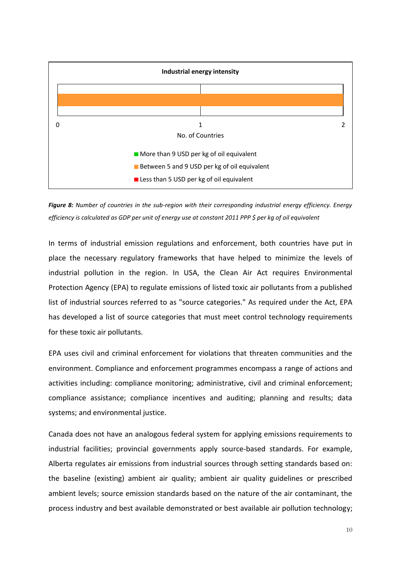

*Figure 8: Number of countries in the sub-region with their corresponding industrial energy efficiency. Energy efficiency is calculated as GDP per unit of energy use at constant 2011 PPP \$ per kg of oil equivalent*

In terms of industrial emission regulations and enforcement, both countries have put in place the necessary regulatory frameworks that have helped to minimize the levels of industrial pollution in the region. In USA, the Clean Air Act requires Environmental Protection Agency (EPA) to regulate emissions of listed toxic air pollutants from a published list of industrial sources referred to as "source categories." As required under the Act, EPA has developed a list of source categories that must meet control technology requirements for these toxic air pollutants.

EPA uses civil and criminal enforcement for violations that threaten communities and the environment. Compliance and enforcement programmes encompass a range of actions and activities including: compliance monitoring; administrative, civil and criminal enforcement; compliance assistance; compliance incentives and auditing; planning and results; data systems; and environmental justice.

Canada does not have an analogous federal system for applying emissions requirements to industrial facilities; provincial governments apply source-based standards. For example, Alberta regulates air emissions from industrial sources through setting standards based on: the baseline (existing) ambient air quality; ambient air quality guidelines or prescribed ambient levels; source emission standards based on the nature of the air contaminant, the process industry and best available demonstrated or best available air pollution technology;